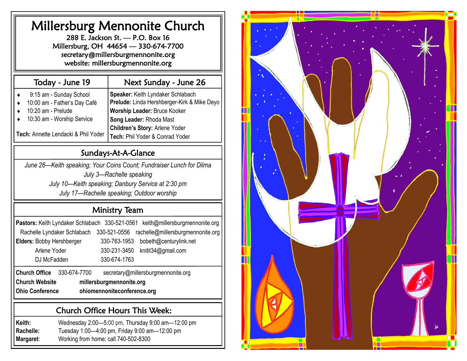| <b>Millersburg Mennonite Church</b><br>288 E. Jackson St. - P.O. Box 16<br>Millersburg, OH 44654 - 330-674-7700<br>secretary@millersburgmennonite.org<br>website: millersburgmennonite.org |                                                                                                                                                                                                                         |  |  |  |
|--------------------------------------------------------------------------------------------------------------------------------------------------------------------------------------------|-------------------------------------------------------------------------------------------------------------------------------------------------------------------------------------------------------------------------|--|--|--|
| Today - June 19                                                                                                                                                                            | Next Sunday - June 26                                                                                                                                                                                                   |  |  |  |
| 9:15 am - Sunday School<br>10:00 am - Father's Day Café<br>10:20 am - Prelude<br>10:30 am - Worship Service<br>Tech: Annette Lendacki & Phil Yoder                                         | Speaker: Keith Lyndaker Schlabach<br>Prelude: Linda Hershberger-Kirk & Mike Deyo<br><b>Worship Leader: Bruce Kooker</b><br>Song Leader: Rhoda Mast<br>Children's Story: Arlene Yoder<br>Tech: Phil Yoder & Conrad Yoder |  |  |  |
|                                                                                                                                                                                            | Sundays-At-A-Glance                                                                                                                                                                                                     |  |  |  |
|                                                                                                                                                                                            | July 3-Rachelle speaking<br>July 10—Keith speaking; Danbury Service at 2:30 pm<br>July 17-Rachelle speaking; Outdoor worship                                                                                            |  |  |  |
|                                                                                                                                                                                            | <b>Ministry Team</b>                                                                                                                                                                                                    |  |  |  |
| Pastors: Keith Lyndaker Schlabach 330-521-0561<br>Rachelle Lyndaker Schlabach<br><b>Elders: Bobby Hershberger</b><br>Arlene Yoder<br>DJ McFadden                                           | keith@millersburgmennonite.org<br>330-521-0556<br>rachelle@millersburgmennonite.org<br>330-763-1953<br>bobeth@centurylink.net<br>330-231-3450<br>knitit34@gmail.com<br>330-674-1763                                     |  |  |  |
| <b>Church Office</b><br>330-674-7700                                                                                                                                                       | secretary@millersburgmennonite.org                                                                                                                                                                                      |  |  |  |
| <b>Church Website</b><br><b>Ohio Conference</b>                                                                                                                                            | millersburgmennonite.org<br>ohiomennoniteconference.org                                                                                                                                                                 |  |  |  |
|                                                                                                                                                                                            | <b>Church Office Hours This Week:</b>                                                                                                                                                                                   |  |  |  |
| Keith:<br>Rachelle:<br>Working from home; call 740-502-8300<br>Margaret:                                                                                                                   | Wednesday 2:00-5:00 pm, Thursday 9:00 am-12:00 pm<br>Tuesday 1:00-4:00 pm, Friday 9:00 am-12:00 pm                                                                                                                      |  |  |  |

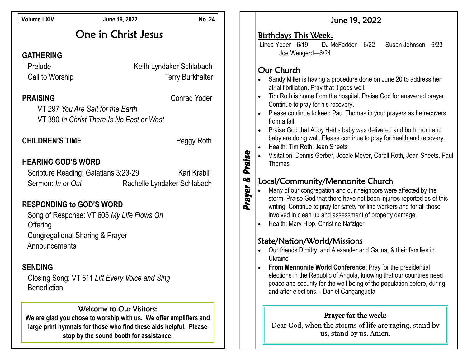| <b>Volume LXIV</b>                                                                                                                                           | June 19, 2022                                                                                                                                                                                                 | <b>No. 24</b>                                                              | June 19, 2022                                                                                                                                                                                                                                                                                                                                                                                                                                                                                                       |
|--------------------------------------------------------------------------------------------------------------------------------------------------------------|---------------------------------------------------------------------------------------------------------------------------------------------------------------------------------------------------------------|----------------------------------------------------------------------------|---------------------------------------------------------------------------------------------------------------------------------------------------------------------------------------------------------------------------------------------------------------------------------------------------------------------------------------------------------------------------------------------------------------------------------------------------------------------------------------------------------------------|
| <b>GATHERING</b>                                                                                                                                             | One in Christ Jesus                                                                                                                                                                                           |                                                                            | Birthdays This Week:<br>Linda Yoder-6/19<br>Susan Johnson-6/23<br>DJ McFadden-6/22<br>Joe Wengerd-6/24                                                                                                                                                                                                                                                                                                                                                                                                              |
| Prelude<br>Call to Worship<br><b>PRAISING</b>                                                                                                                | VT 297 You Are Salt for the Earth<br>VT 390 In Christ There Is No East or West                                                                                                                                | Keith Lyndaker Schlabach<br><b>Terry Burkhalter</b><br><b>Conrad Yoder</b> | Our Church<br>Sandy Miller is having a procedure done on June 20 to address her<br>atrial fibrillation. Pray that it goes well.<br>Tim Roth is home from the hospital. Praise God for answered prayer.<br>Continue to pray for his recovery.<br>Please continue to keep Paul Thomas in your prayers as he recovers<br>from a fall.<br>Praise God that Abby Hart's baby was delivered and both mom and<br>$\bullet$                                                                                                  |
| <b>CHILDREN'S TIME</b>                                                                                                                                       |                                                                                                                                                                                                               | Peggy Roth                                                                 | baby are doing well. Please continue to pray for health and recovery.<br>Health: Tim Roth, Jean Sheets<br>$\bullet$<br>Visitation: Dennis Gerber, Jocele Meyer, Caroll Roth, Jean Sheets, Paul                                                                                                                                                                                                                                                                                                                      |
| <b>HEARING GOD'S WORD</b><br>Sermon: In or Out<br><b>RESPONDING to GOD'S WORD</b><br>Offering<br><b>Congregational Sharing &amp; Prayer</b><br>Announcements | Scripture Reading: Galatians 3:23-29<br>Song of Response: VT 605 My Life Flows On                                                                                                                             | Kari Krabill<br>Rachelle Lyndaker Schlabach                                | Praise<br>Thomas<br>OÖ<br>Local/Community/Mennonite Church<br>Prayer<br>Many of our congregation and our neighbors were affected by the<br>storm. Praise God that there have not been injuries reported as of this<br>writing. Continue to pray for safety for line workers and for all those<br>involved in clean up and assessment of property damage.<br>Health: Mary Hipp, Christine Nafziger<br>State/Nation/World/Missions<br>Our friends Dimitry, and Alexander and Galina, & their families in<br>$\bullet$ |
| <b>SENDING</b><br><b>Benediction</b>                                                                                                                         | Closing Song: VT 611 Lift Every Voice and Sing                                                                                                                                                                |                                                                            | Ukraine<br>From Mennonite World Conference: Pray for the presidential<br>elections in the Republic of Angola, knowing that our countries need<br>peace and security for the well-being of the population before, during<br>and after elections. - Daniel Canganguela                                                                                                                                                                                                                                                |
|                                                                                                                                                              | Welcome to Our Visitors:<br>We are glad you chose to worship with us. We offer amplifiers and<br>large print hymnals for those who find these aids helpful. Please<br>stop by the sound booth for assistance. |                                                                            | Prayer for the week:<br>Dear God, when the storms of life are raging, stand by<br>us, stand by us. Amen.                                                                                                                                                                                                                                                                                                                                                                                                            |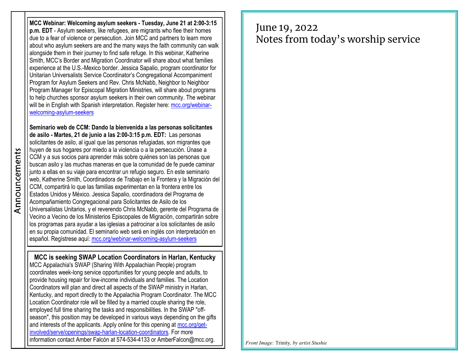**MCC Webinar: Welcoming asylum seekers - Tuesday, June 21 at 2:00-3:15 p.m. EDT** - Asylum seekers, like refugees, are migrants who flee their homes due to a fear of violence or persecution. Join MCC and partners to learn more about who asylum seekers are and the many ways the faith community can walk alongside them in their journey to find safe refuge. In this webinar, Katherine Smith, MCC's Border and Migration Coordinator will share about what families experience at the U.S.-Mexico border. Jessica Sapalio, program coordinator for Unitarian Universalists Service Coordinator's Congregational Accompaniment Program for Asylum Seekers and Rev. Chris McNabb, Neighbor to Neighbor Program Manager for Episcopal Migration Ministries, will share about programs to help churches sponsor asylum seekers in their own community. The webinar will be in English with Spanish interpretation. Register here: [mcc.org/webinar](https://mcc.org/webinar-welcoming-asylum-seekers)[welcoming-asylum-seekers](https://mcc.org/webinar-welcoming-asylum-seekers)

**Seminario web de CCM: Dando la bienvenida a las personas solicitantes de asilo - Martes, 21 de junio a las 2:00-3:15 p.m. EDT:** Las personas solicitantes de asilo, al igual que las personas refugiadas, son migrantes que huyen de sus hogares por miedo a la violencia o a la persecución. Únase a CCM y a sus socios para aprender más sobre quiénes son las personas que buscan asilo y las muchas maneras en que la comunidad de fe puede caminar junto a ellas en su viaje para encontrar un refugio seguro. En este seminario web, Katherine Smith, Coordinadora de Trabajo en la Frontera y la Migración del CCM, compartirá lo que las familias experimentan en la frontera entre los Estados Unidos y México. Jessica Sapalio, coordinadora del Programa de Acompañamiento Congregacional para Solicitantes de Asilo de los Universalistas Unitarios, y el reverendo Chris McNabb, gerente del Programa de Vecino a Vecino de los Ministerios Episcopales de Migración, compartirán sobre los programas para ayudar a las iglesias a patrocinar a los solicitantes de asilo en su propia comunidad. El seminario web será en inglés con interpretación en español. Regístrese aquí: [mcc.org/webinar-welcoming-asylum-seekers](https://mcc.org/webinar-welcoming-asylum-seekers)

**MCC is seeking SWAP Location Coordinators in Harlan, Kentucky** MCC Appalachia's SWAP (Sharing With Appalachian People) program coordinates week-long service opportunities for young people and adults, to provide housing repair for low-income individuals and families. The Location Coordinators will plan and direct all aspects of the SWAP ministry in Harlan, Kentucky, and report directly to the Appalachia Program Coordinator. The MCC Location Coordinator role will be filled by a married couple sharing the role, employed full time sharing the tasks and responsibilities. In the SWAP "offseason", this position may be developed in various ways depending on the gifts and interests of the applicants. Apply online for this opening at [mcc.org/get](https://mcc.org/get-involved/serve/openings/swap-harlan-location-coordinators)[involved/serve/openings/swap-harlan-location-coordinators.](https://mcc.org/get-involved/serve/openings/swap-harlan-location-coordinators) For more information contact Amber Falcón at 574-534-4133 or AmberFalcon@mcc.org.

## June 19, 2022 Notes from today's worship service

*Front Image:* Trinity*, by artist Stushie*